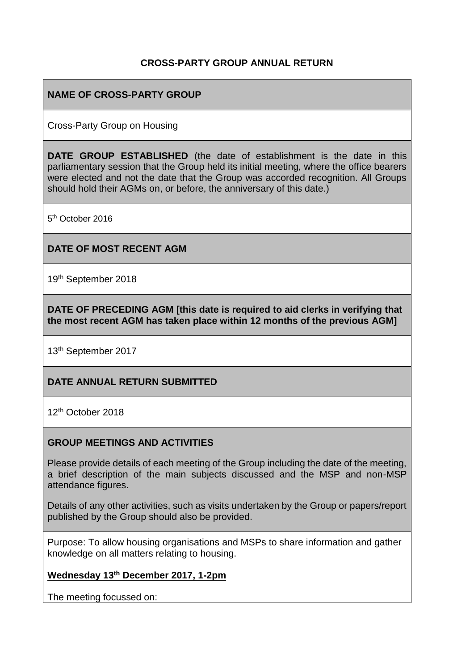### **CROSS-PARTY GROUP ANNUAL RETURN**

## **NAME OF CROSS-PARTY GROUP**

Cross-Party Group on Housing

**DATE GROUP ESTABLISHED** (the date of establishment is the date in this parliamentary session that the Group held its initial meeting, where the office bearers were elected and not the date that the Group was accorded recognition. All Groups should hold their AGMs on, or before, the anniversary of this date.)

5<sup>th</sup> October 2016

### **DATE OF MOST RECENT AGM**

19th September 2018

**DATE OF PRECEDING AGM [this date is required to aid clerks in verifying that the most recent AGM has taken place within 12 months of the previous AGM]**

13th September 2017

#### **DATE ANNUAL RETURN SUBMITTED**

12th October 2018

#### **GROUP MEETINGS AND ACTIVITIES**

Please provide details of each meeting of the Group including the date of the meeting, a brief description of the main subjects discussed and the MSP and non-MSP attendance figures.

Details of any other activities, such as visits undertaken by the Group or papers/report published by the Group should also be provided.

Purpose: To allow housing organisations and MSPs to share information and gather knowledge on all matters relating to housing.

### **Wednesday 13th December 2017, 1-2pm**

The meeting focussed on: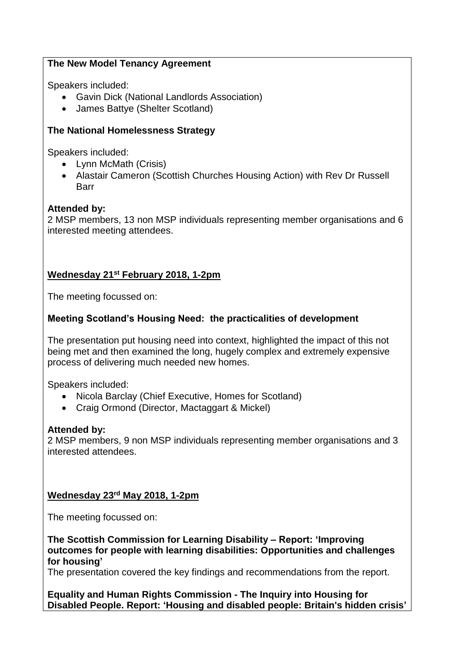## **The New Model Tenancy Agreement**

Speakers included:

- Gavin Dick (National Landlords Association)
- James Battye (Shelter Scotland)

# **The National Homelessness Strategy**

Speakers included:

- Lynn McMath (Crisis)
- Alastair Cameron (Scottish Churches Housing Action) with Rev Dr Russell Barr

## **Attended by:**

2 MSP members, 13 non MSP individuals representing member organisations and 6 interested meeting attendees.

# **Wednesday 21st February 2018, 1-2pm**

The meeting focussed on:

## **Meeting Scotland's Housing Need: the practicalities of development**

The presentation put housing need into context, highlighted the impact of this not being met and then examined the long, hugely complex and extremely expensive process of delivering much needed new homes.

Speakers included:

- Nicola Barclay (Chief Executive, Homes for Scotland)
- Craig Ormond (Director, Mactaggart & Mickel)

### **Attended by:**

2 MSP members, 9 non MSP individuals representing member organisations and 3 interested attendees.

# **Wednesday 23rd May 2018, 1-2pm**

The meeting focussed on:

**The Scottish Commission for Learning Disability – Report: 'Improving outcomes for people with learning disabilities: Opportunities and challenges for housing'**

The presentation covered the key findings and recommendations from the report.

**Equality and Human Rights Commission - The Inquiry into Housing for Disabled People. Report: 'Housing and disabled people: Britain's hidden crisis'**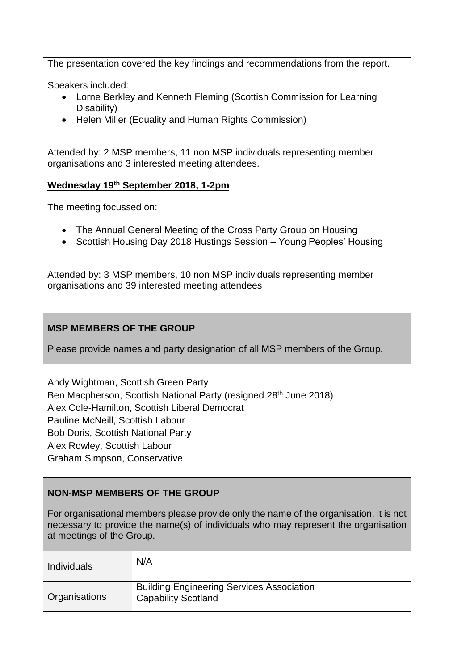The presentation covered the key findings and recommendations from the report.

Speakers included:

- Lorne Berkley and Kenneth Fleming (Scottish Commission for Learning Disability)
- Helen Miller (Equality and Human Rights Commission)

Attended by: 2 MSP members, 11 non MSP individuals representing member organisations and 3 interested meeting attendees.

### **Wednesday 19th September 2018, 1-2pm**

The meeting focussed on:

- The Annual General Meeting of the Cross Party Group on Housing
- Scottish Housing Day 2018 Hustings Session Young Peoples' Housing

Attended by: 3 MSP members, 10 non MSP individuals representing member organisations and 39 interested meeting attendees

### **MSP MEMBERS OF THE GROUP**

Please provide names and party designation of all MSP members of the Group.

Andy Wightman, Scottish Green Party Ben Macpherson, Scottish National Party (resigned 28<sup>th</sup> June 2018) Alex Cole-Hamilton, Scottish Liberal Democrat Pauline McNeill, Scottish Labour Bob Doris, Scottish National Party Alex Rowley, Scottish Labour Graham Simpson, Conservative

### **NON-MSP MEMBERS OF THE GROUP**

For organisational members please provide only the name of the organisation, it is not necessary to provide the name(s) of individuals who may represent the organisation at meetings of the Group.

| <b>Individuals</b> | N/A                                                                            |
|--------------------|--------------------------------------------------------------------------------|
| Organisations      | <b>Building Engineering Services Association</b><br><b>Capability Scotland</b> |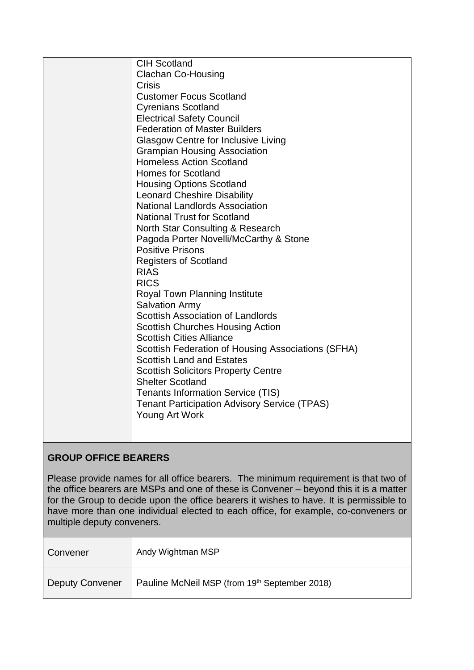| <b>CIH Scotland</b>                                 |
|-----------------------------------------------------|
| <b>Clachan Co-Housing</b>                           |
| Crisis                                              |
| <b>Customer Focus Scotland</b>                      |
| <b>Cyrenians Scotland</b>                           |
| <b>Electrical Safety Council</b>                    |
| <b>Federation of Master Builders</b>                |
| <b>Glasgow Centre for Inclusive Living</b>          |
| <b>Grampian Housing Association</b>                 |
| <b>Homeless Action Scotland</b>                     |
| <b>Homes for Scotland</b>                           |
| <b>Housing Options Scotland</b>                     |
| <b>Leonard Cheshire Disability</b>                  |
| <b>National Landlords Association</b>               |
| <b>National Trust for Scotland</b>                  |
| North Star Consulting & Research                    |
| Pagoda Porter Novelli/McCarthy & Stone              |
| <b>Positive Prisons</b>                             |
| <b>Registers of Scotland</b>                        |
| <b>RIAS</b>                                         |
| <b>RICS</b>                                         |
| Royal Town Planning Institute                       |
| <b>Salvation Army</b>                               |
| <b>Scottish Association of Landlords</b>            |
| <b>Scottish Churches Housing Action</b>             |
| <b>Scottish Cities Alliance</b>                     |
| Scottish Federation of Housing Associations (SFHA)  |
| <b>Scottish Land and Estates</b>                    |
| <b>Scottish Solicitors Property Centre</b>          |
| <b>Shelter Scotland</b>                             |
| <b>Tenants Information Service (TIS)</b>            |
| <b>Tenant Participation Advisory Service (TPAS)</b> |
| Young Art Work                                      |
|                                                     |
|                                                     |

# **GROUP OFFICE BEARERS**

Please provide names for all office bearers. The minimum requirement is that two of the office bearers are MSPs and one of these is Convener – beyond this it is a matter for the Group to decide upon the office bearers it wishes to have. It is permissible to have more than one individual elected to each office, for example, co-conveners or multiple deputy conveners.

| Convener               | Andy Wightman MSP                             |
|------------------------|-----------------------------------------------|
| <b>Deputy Convener</b> | Pauline McNeil MSP (from 19th September 2018) |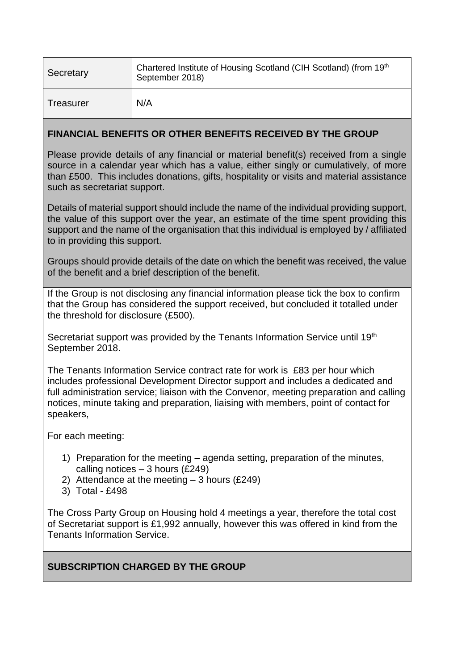| Secretary | Chartered Institute of Housing Scotland (CIH Scotland) (from 19th<br>September 2018) |
|-----------|--------------------------------------------------------------------------------------|
| Treasurer | N/A                                                                                  |

#### **FINANCIAL BENEFITS OR OTHER BENEFITS RECEIVED BY THE GROUP**

Please provide details of any financial or material benefit(s) received from a single source in a calendar year which has a value, either singly or cumulatively, of more than £500. This includes donations, gifts, hospitality or visits and material assistance such as secretariat support.

Details of material support should include the name of the individual providing support, the value of this support over the year, an estimate of the time spent providing this support and the name of the organisation that this individual is employed by / affiliated to in providing this support.

Groups should provide details of the date on which the benefit was received, the value of the benefit and a brief description of the benefit.

If the Group is not disclosing any financial information please tick the box to confirm that the Group has considered the support received, but concluded it totalled under the threshold for disclosure (£500).

Secretariat support was provided by the Tenants Information Service until 19th September 2018.

The Tenants Information Service contract rate for work is £83 per hour which includes professional Development Director support and includes a dedicated and full administration service; liaison with the Convenor, meeting preparation and calling notices, minute taking and preparation, liaising with members, point of contact for speakers,

For each meeting:

- 1) Preparation for the meeting agenda setting, preparation of the minutes, calling notices  $-3$  hours (£249)
- 2) Attendance at the meeting  $-3$  hours (£249)
- 3) Total £498

The Cross Party Group on Housing hold 4 meetings a year, therefore the total cost of Secretariat support is £1,992 annually, however this was offered in kind from the Tenants Information Service.

**SUBSCRIPTION CHARGED BY THE GROUP**